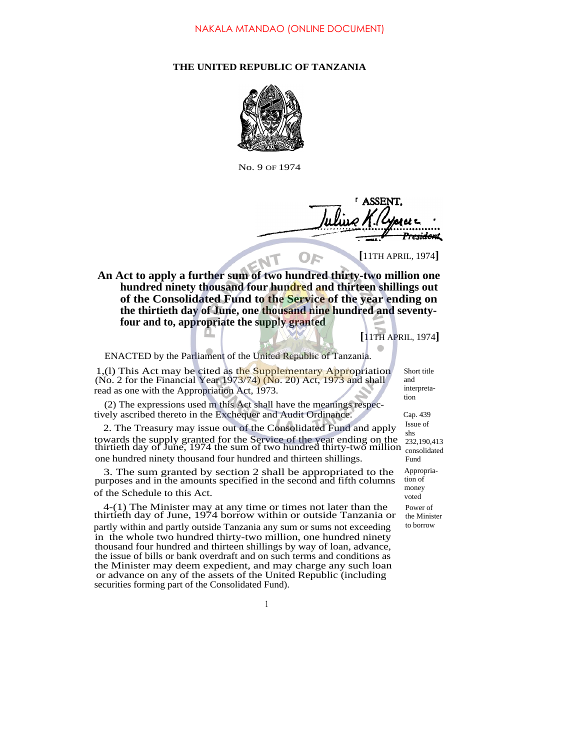## **THE UNITED REPUBLIC OF TANZANIA**



No. 9 OF 1974

e<del>sidon</del>t

**[**11TH APRIL, 1974**]**

**An Act to apply a further sum of two hundred thirty-two million one hundred ninety thousand four hundred and thirteen shillings out of the Consolidated Fund to the Service of the year ending on the thirtieth day of June, one thousand nine hundred and seventyfour and to, appropriate the supply granted**

**[**11TH APRIL, 1974**]**

ENACTED by the Parliament of the United Republic of Tanzania.

1,(1) This Act may be cited as the Supplementary Appropriation  $(No. 2$  for the Financial Year 1973/74)  $(No. 20)$  Act, 1973 and shall read as one with the Appropriation Act, 1973.

(2) The expressions used m this Act shall have the meanings respectively ascribed thereto in the Exchequer and Audit Ordinance.

2. The Treasury may issue out of the Consolidated Fund and apply towards the supply granted for the Service of the year ending on the thirtieth day of June, 1974 the sum of two hundred thirty-two million one hundred ninety thousand four hundred and thirteen shillings.

3. The sum granted by section 2 shall be appropriated to the purposes and in the amounts specified in the second and fifth columns of the Schedule to this Act.

4-(1) The Minister may at any time or times not later than the thirtieth day of June, 1974 borrow within or outside Tanzania or partly within and partly outside Tanzania any sum or sums not exceeding in the whole two hundred thirty-two million, one hundred ninety thousand four hundred and thirteen shillings by way of loan, advance, the issue of bills or bank overdraft and on such terms and conditions as the Minister may deem expedient, and may charge any such loan or advance on any of the assets of the United Republic (including securities forming part of the Consolidated Fund).

Short title and interpretation

Cap. 439 Issue of shs 232,190,413 consolidated Fund Appropriation of money voted Power of the Minister to borrow

1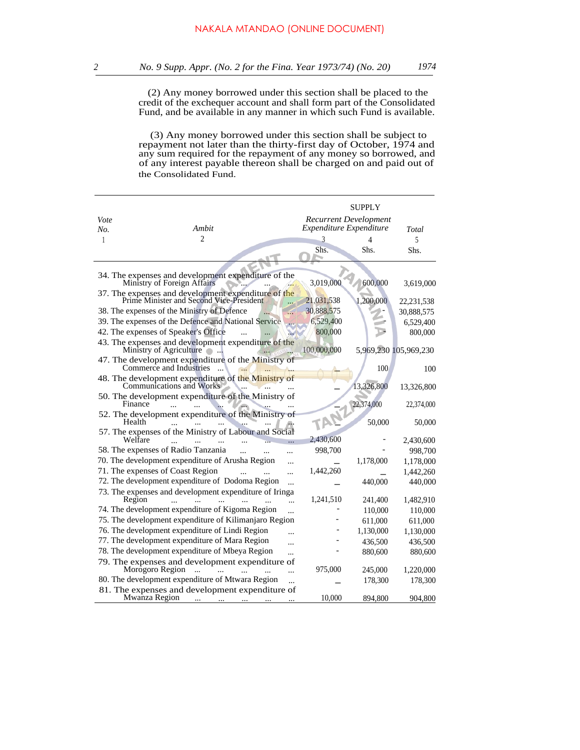(2) Any money borrowed under this section shall be placed to the credit of the exchequer account and shall form part of the Consolidated Fund, and be available in any manner in which such Fund is available.

(3) Any money borrowed under this section shall be subject to repayment not later than the thirty-first day of October, 1974 and any sum required for the repayment of any money so borrowed, and of any interest payable thereon shall be charged on and paid out of the Consolidated Fund.

|         |                                                                                                             |             | SUPPLY                       |                       |
|---------|-------------------------------------------------------------------------------------------------------------|-------------|------------------------------|-----------------------|
| Vote    |                                                                                                             |             | <b>Recurrent Development</b> |                       |
| No.     | Ambit                                                                                                       |             | Expenditure Expenditure      | Total                 |
| 1       | 2                                                                                                           | 3           | 4                            | 5                     |
|         |                                                                                                             | Shs.        | Shs.                         | Shs.                  |
|         |                                                                                                             |             |                              |                       |
|         | 34. The expenses and development expenditure of the<br>Ministry of Foreign Affairs                          | 3,019,000   | 600,000                      | 3,619,000             |
|         | 37. The expenses and development expenditure of the Prime Minister and Second Vice-President                | 21,031,538  | 1,200,000                    | 22, 231, 538          |
|         | 38. The expenses of the Ministry of Defence                                                                 | 30,888,575  |                              | 30,888,575            |
|         | 39. The expenses of the Defence and National Service                                                        | 6,529,400   |                              | 6,529,400             |
|         | 42. The expenses of Speaker's Office                                                                        | 800,000     |                              | 800,000               |
|         | 43. The expenses and development expenditure of the<br>Ministry of Agriculture                              | 100,000,000 |                              | 5,969,230 105,969,230 |
|         | 47. The development expenditure of the Ministry of<br>Commerce and Industries                               |             | 100                          | 100                   |
|         | 48. The development expenditure of the Ministry of<br>Communications and Works                              |             | 13,326,800                   | 13,326,800            |
| Finance | 50. The development expenditure of the Ministry of                                                          |             | 22,374,000                   | 22,374,000            |
| Health  | 52. The development expenditure of the Ministry of                                                          |             | 50,000                       | 50,000                |
| Welfare | 57. The expenses of the Ministry of Labour and Social                                                       | 2,430,600   |                              | 2,430,600             |
|         | 58. The expenses of Radio Tanzania                                                                          | 998,700     |                              | 998,700               |
|         | 70. The development expenditure of Arusha Region<br>$\ddotsc$                                               |             | 1,178,000                    | 1,178,000             |
|         | 71. The expenses of Coast Region<br>$\ddotsc$                                                               | 1,442,260   |                              | 1,442,260             |
|         | 72. The development expenditure of Dodoma Region<br>$\dddotsc$                                              |             | 440,000                      | 440,000               |
| Region  | 73. The expenses and development expenditure of Iringa<br>                                                  | 1,241,510   | 241,400                      | 1,482,910             |
|         | 74. The development expenditure of Kigoma Region<br>$\ddotsc$                                               |             | 110,000                      | 110,000               |
|         | 75. The development expenditure of Kilimanjaro Region                                                       |             | 611,000                      | 611,000               |
|         | 76. The development expenditure of Lindi Region<br>.                                                        |             | 1,130,000                    | 1,130,000             |
|         | 77. The development expenditure of Mara Region<br>                                                          |             | 436,500                      | 436,500               |
|         | 78. The development expenditure of Mbeya Region<br>$\dddotsc$                                               |             | 880,600                      | 880,600               |
|         | 79. The expenses and development expenditure of<br>Morogoro Region<br>$\dddotsc$<br>$\sim$                  | 975,000     | 245,000                      | 1,220,000             |
|         | .<br>80. The development expenditure of Mtwara Region                                                       |             | 178,300                      | 178,300               |
|         | 81. The expenses and development expenditure of                                                             |             |                              |                       |
|         | Mwanza Region<br><b>Contract Contract</b><br>$\cdots$ .<br><br><br><br><br><br><br><br><br><br><br><br><br> | 10,000      | 894,800                      | 904,800               |